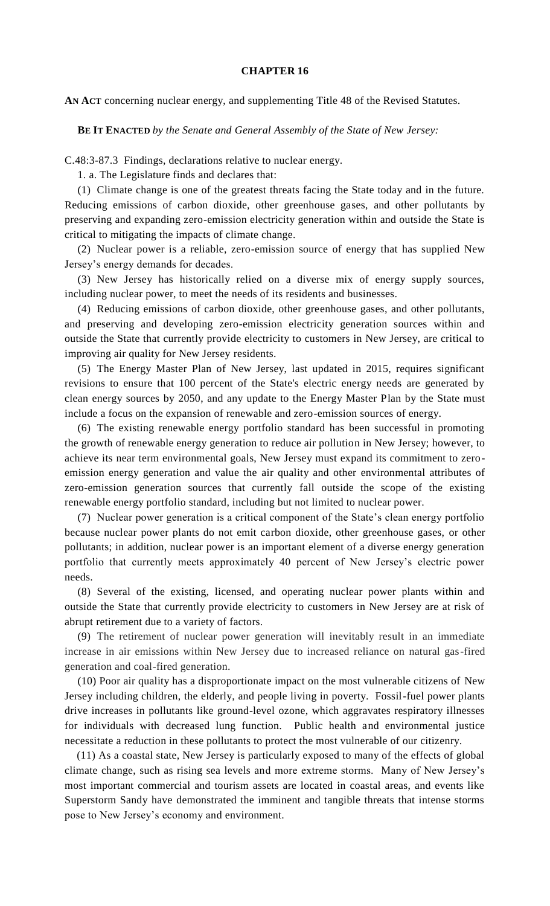## **CHAPTER 16**

**AN ACT** concerning nuclear energy, and supplementing Title 48 of the Revised Statutes.

**BE IT ENACTED** *by the Senate and General Assembly of the State of New Jersey:*

C.48:3-87.3 Findings, declarations relative to nuclear energy.

1. a. The Legislature finds and declares that:

(1) Climate change is one of the greatest threats facing the State today and in the future. Reducing emissions of carbon dioxide, other greenhouse gases, and other pollutants by preserving and expanding zero-emission electricity generation within and outside the State is critical to mitigating the impacts of climate change.

(2) Nuclear power is a reliable, zero-emission source of energy that has supplied New Jersey's energy demands for decades.

(3) New Jersey has historically relied on a diverse mix of energy supply sources, including nuclear power, to meet the needs of its residents and businesses.

(4) Reducing emissions of carbon dioxide, other greenhouse gases, and other pollutants, and preserving and developing zero-emission electricity generation sources within and outside the State that currently provide electricity to customers in New Jersey, are critical to improving air quality for New Jersey residents.

(5) The Energy Master Plan of New Jersey, last updated in 2015, requires significant revisions to ensure that 100 percent of the State's electric energy needs are generated by clean energy sources by 2050, and any update to the Energy Master Plan by the State must include a focus on the expansion of renewable and zero-emission sources of energy.

(6) The existing renewable energy portfolio standard has been successful in promoting the growth of renewable energy generation to reduce air pollution in New Jersey; however, to achieve its near term environmental goals, New Jersey must expand its commitment to zeroemission energy generation and value the air quality and other environmental attributes of zero-emission generation sources that currently fall outside the scope of the existing renewable energy portfolio standard, including but not limited to nuclear power.

(7) Nuclear power generation is a critical component of the State's clean energy portfolio because nuclear power plants do not emit carbon dioxide, other greenhouse gases, or other pollutants; in addition, nuclear power is an important element of a diverse energy generation portfolio that currently meets approximately 40 percent of New Jersey's electric power needs.

(8) Several of the existing, licensed, and operating nuclear power plants within and outside the State that currently provide electricity to customers in New Jersey are at risk of abrupt retirement due to a variety of factors.

(9) The retirement of nuclear power generation will inevitably result in an immediate increase in air emissions within New Jersey due to increased reliance on natural gas-fired generation and coal-fired generation.

(10) Poor air quality has a disproportionate impact on the most vulnerable citizens of New Jersey including children, the elderly, and people living in poverty. Fossil-fuel power plants drive increases in pollutants like ground-level ozone, which aggravates respiratory illnesses for individuals with decreased lung function. Public health and environmental justice necessitate a reduction in these pollutants to protect the most vulnerable of our citizenry.

(11) As a coastal state, New Jersey is particularly exposed to many of the effects of global climate change, such as rising sea levels and more extreme storms. Many of New Jersey's most important commercial and tourism assets are located in coastal areas, and events like Superstorm Sandy have demonstrated the imminent and tangible threats that intense storms pose to New Jersey's economy and environment.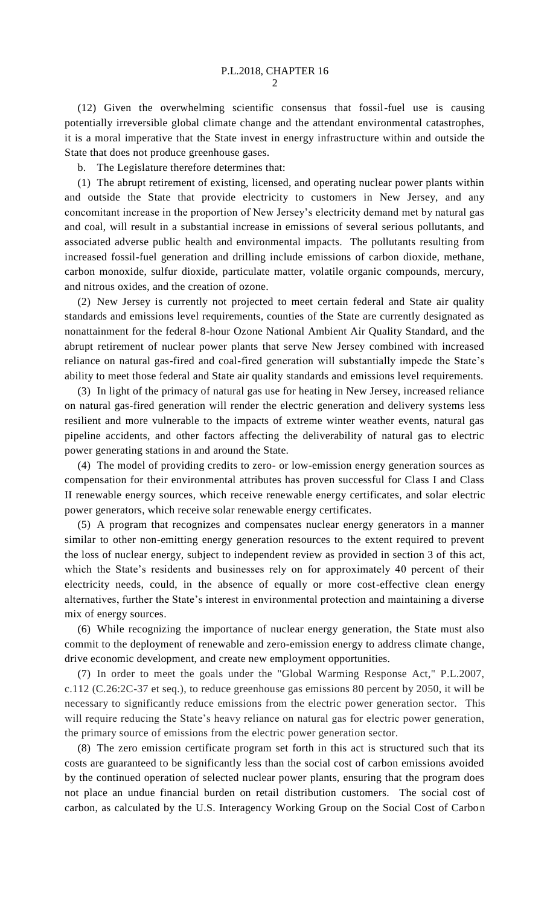(12) Given the overwhelming scientific consensus that fossil-fuel use is causing potentially irreversible global climate change and the attendant environmental catastrophes, it is a moral imperative that the State invest in energy infrastructure within and outside the State that does not produce greenhouse gases.

b. The Legislature therefore determines that:

(1) The abrupt retirement of existing, licensed, and operating nuclear power plants within and outside the State that provide electricity to customers in New Jersey, and any concomitant increase in the proportion of New Jersey's electricity demand met by natural gas and coal, will result in a substantial increase in emissions of several serious pollutants, and associated adverse public health and environmental impacts. The pollutants resulting from increased fossil-fuel generation and drilling include emissions of carbon dioxide, methane, carbon monoxide, sulfur dioxide, particulate matter, volatile organic compounds, mercury, and nitrous oxides, and the creation of ozone.

(2) New Jersey is currently not projected to meet certain federal and State air quality standards and emissions level requirements, counties of the State are currently designated as nonattainment for the federal 8-hour Ozone National Ambient Air Quality Standard, and the abrupt retirement of nuclear power plants that serve New Jersey combined with increased reliance on natural gas-fired and coal-fired generation will substantially impede the State's ability to meet those federal and State air quality standards and emissions level requirements.

(3) In light of the primacy of natural gas use for heating in New Jersey, increased reliance on natural gas-fired generation will render the electric generation and delivery systems less resilient and more vulnerable to the impacts of extreme winter weather events, natural gas pipeline accidents, and other factors affecting the deliverability of natural gas to electric power generating stations in and around the State.

(4) The model of providing credits to zero- or low-emission energy generation sources as compensation for their environmental attributes has proven successful for Class I and Class II renewable energy sources, which receive renewable energy certificates, and solar electric power generators, which receive solar renewable energy certificates.

(5) A program that recognizes and compensates nuclear energy generators in a manner similar to other non-emitting energy generation resources to the extent required to prevent the loss of nuclear energy, subject to independent review as provided in section 3 of this act, which the State's residents and businesses rely on for approximately 40 percent of their electricity needs, could, in the absence of equally or more cost-effective clean energy alternatives, further the State's interest in environmental protection and maintaining a diverse mix of energy sources.

(6) While recognizing the importance of nuclear energy generation, the State must also commit to the deployment of renewable and zero-emission energy to address climate change, drive economic development, and create new employment opportunities.

(7) In order to meet the goals under the "Global Warming Response Act," P.L.2007, c.112 (C.26:2C-37 et seq.), to reduce greenhouse gas emissions 80 percent by 2050, it will be necessary to significantly reduce emissions from the electric power generation sector. This will require reducing the State's heavy reliance on natural gas for electric power generation, the primary source of emissions from the electric power generation sector.

(8) The zero emission certificate program set forth in this act is structured such that its costs are guaranteed to be significantly less than the social cost of carbon emissions avoided by the continued operation of selected nuclear power plants, ensuring that the program does not place an undue financial burden on retail distribution customers. The social cost of carbon, as calculated by the U.S. Interagency Working Group on the Social Cost of Carbon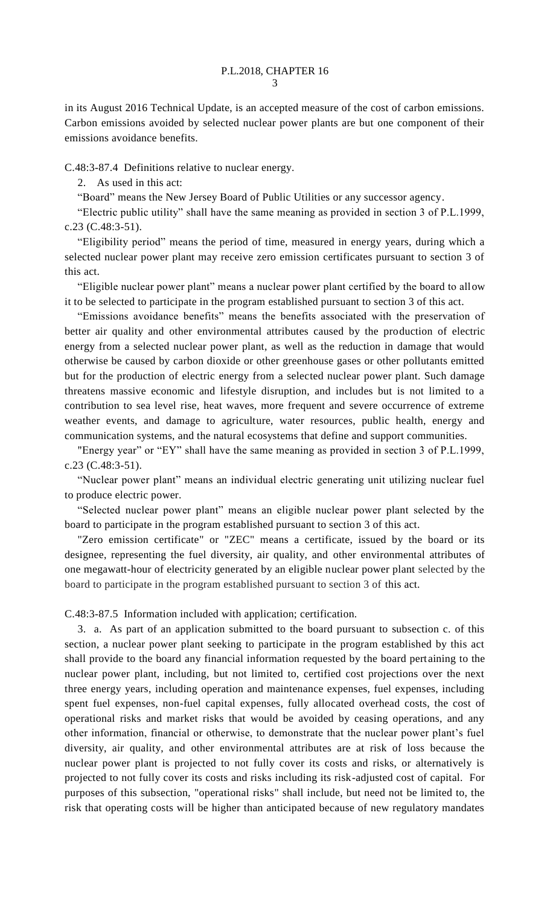in its August 2016 Technical Update, is an accepted measure of the cost of carbon emissions. Carbon emissions avoided by selected nuclear power plants are but one component of their emissions avoidance benefits.

C.48:3-87.4 Definitions relative to nuclear energy.

2. As used in this act:

"Board" means the New Jersey Board of Public Utilities or any successor agency.

"Electric public utility" shall have the same meaning as provided in section 3 of P.L.1999, c.23 (C.48:3-51).

"Eligibility period" means the period of time, measured in energy years, during which a selected nuclear power plant may receive zero emission certificates pursuant to section 3 of this act.

"Eligible nuclear power plant" means a nuclear power plant certified by the board to allow it to be selected to participate in the program established pursuant to section 3 of this act.

"Emissions avoidance benefits" means the benefits associated with the preservation of better air quality and other environmental attributes caused by the production of electric energy from a selected nuclear power plant, as well as the reduction in damage that would otherwise be caused by carbon dioxide or other greenhouse gases or other pollutants emitted but for the production of electric energy from a selected nuclear power plant. Such damage threatens massive economic and lifestyle disruption, and includes but is not limited to a contribution to sea level rise, heat waves, more frequent and severe occurrence of extreme weather events, and damage to agriculture, water resources, public health, energy and communication systems, and the natural ecosystems that define and support communities.

"Energy year" or "EY" shall have the same meaning as provided in section 3 of P.L.1999, c.23 (C.48:3-51).

"Nuclear power plant" means an individual electric generating unit utilizing nuclear fuel to produce electric power.

"Selected nuclear power plant" means an eligible nuclear power plant selected by the board to participate in the program established pursuant to section 3 of this act.

"Zero emission certificate" or "ZEC" means a certificate, issued by the board or its designee, representing the fuel diversity, air quality, and other environmental attributes of one megawatt-hour of electricity generated by an eligible nuclear power plant selected by the board to participate in the program established pursuant to section 3 of this act.

C.48:3-87.5 Information included with application; certification.

3. a. As part of an application submitted to the board pursuant to subsection c. of this section, a nuclear power plant seeking to participate in the program established by this act shall provide to the board any financial information requested by the board pertaining to the nuclear power plant, including, but not limited to, certified cost projections over the next three energy years, including operation and maintenance expenses, fuel expenses, including spent fuel expenses, non-fuel capital expenses, fully allocated overhead costs, the cost of operational risks and market risks that would be avoided by ceasing operations, and any other information, financial or otherwise, to demonstrate that the nuclear power plant's fuel diversity, air quality, and other environmental attributes are at risk of loss because the nuclear power plant is projected to not fully cover its costs and risks, or alternatively is projected to not fully cover its costs and risks including its risk-adjusted cost of capital. For purposes of this subsection, "operational risks" shall include, but need not be limited to, the risk that operating costs will be higher than anticipated because of new regulatory mandates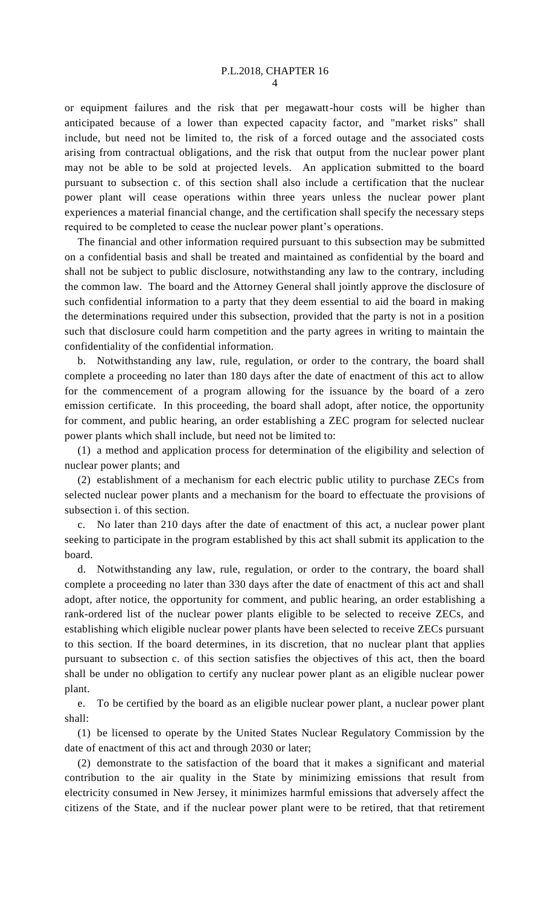4

or equipment failures and the risk that per megawatt-hour costs will be higher than anticipated because of a lower than expected capacity factor, and "market risks" shall include, but need not be limited to, the risk of a forced outage and the associated costs arising from contractual obligations, and the risk that output from the nuclear power plant may not be able to be sold at projected levels. An application submitted to the board pursuant to subsection c. of this section shall also include a certification that the nuclear power plant will cease operations within three years unless the nuclear power plant experiences a material financial change, and the certification shall specify the necessary steps required to be completed to cease the nuclear power plant's operations.

The financial and other information required pursuant to this subsection may be submitted on a confidential basis and shall be treated and maintained as confidential by the board and shall not be subject to public disclosure, notwithstanding any law to the contrary, including the common law. The board and the Attorney General shall jointly approve the disclosure of such confidential information to a party that they deem essential to aid the board in making the determinations required under this subsection, provided that the party is not in a position such that disclosure could harm competition and the party agrees in writing to maintain the confidentiality of the confidential information.

b. Notwithstanding any law, rule, regulation, or order to the contrary, the board shall complete a proceeding no later than 180 days after the date of enactment of this act to allow for the commencement of a program allowing for the issuance by the board of a zero emission certificate. In this proceeding, the board shall adopt, after notice, the opportunity for comment, and public hearing, an order establishing a ZEC program for selected nuclear power plants which shall include, but need not be limited to:

(1) a method and application process for determination of the eligibility and selection of nuclear power plants; and

(2) establishment of a mechanism for each electric public utility to purchase ZECs from selected nuclear power plants and a mechanism for the board to effectuate the provisions of subsection i. of this section.

c. No later than 210 days after the date of enactment of this act, a nuclear power plant seeking to participate in the program established by this act shall submit its application to the board.

d. Notwithstanding any law, rule, regulation, or order to the contrary, the board shall complete a proceeding no later than 330 days after the date of enactment of this act and shall adopt, after notice, the opportunity for comment, and public hearing, an order establishing a rank-ordered list of the nuclear power plants eligible to be selected to receive ZECs, and establishing which eligible nuclear power plants have been selected to receive ZECs pursuant to this section. If the board determines, in its discretion, that no nuclear plant that applies pursuant to subsection c. of this section satisfies the objectives of this act, then the board shall be under no obligation to certify any nuclear power plant as an eligible nuclear power plant.

e. To be certified by the board as an eligible nuclear power plant, a nuclear power plant shall:

(1) be licensed to operate by the United States Nuclear Regulatory Commission by the date of enactment of this act and through 2030 or later;

(2) demonstrate to the satisfaction of the board that it makes a significant and material contribution to the air quality in the State by minimizing emissions that result from electricity consumed in New Jersey, it minimizes harmful emissions that adversely affect the citizens of the State, and if the nuclear power plant were to be retired, that that retirement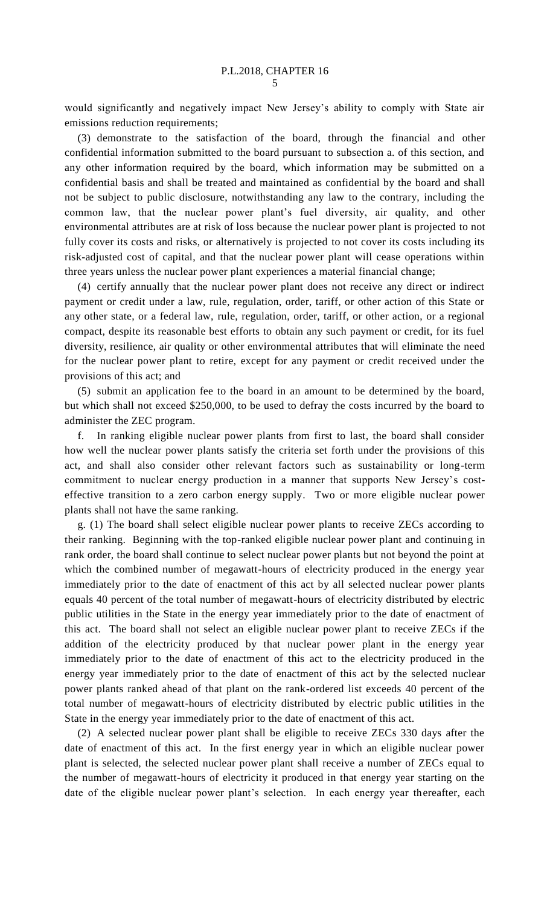would significantly and negatively impact New Jersey's ability to comply with State air emissions reduction requirements;

(3) demonstrate to the satisfaction of the board, through the financial and other confidential information submitted to the board pursuant to subsection a. of this section, and any other information required by the board, which information may be submitted on a confidential basis and shall be treated and maintained as confidential by the board and shall not be subject to public disclosure, notwithstanding any law to the contrary, including the common law, that the nuclear power plant's fuel diversity, air quality, and other environmental attributes are at risk of loss because the nuclear power plant is projected to not fully cover its costs and risks, or alternatively is projected to not cover its costs including its risk-adjusted cost of capital, and that the nuclear power plant will cease operations within three years unless the nuclear power plant experiences a material financial change;

(4) certify annually that the nuclear power plant does not receive any direct or indirect payment or credit under a law, rule, regulation, order, tariff, or other action of this State or any other state, or a federal law, rule, regulation, order, tariff, or other action, or a regional compact, despite its reasonable best efforts to obtain any such payment or credit, for its fuel diversity, resilience, air quality or other environmental attributes that will eliminate the need for the nuclear power plant to retire, except for any payment or credit received under the provisions of this act; and

(5) submit an application fee to the board in an amount to be determined by the board, but which shall not exceed \$250,000, to be used to defray the costs incurred by the board to administer the ZEC program.

f. In ranking eligible nuclear power plants from first to last, the board shall consider how well the nuclear power plants satisfy the criteria set forth under the provisions of this act, and shall also consider other relevant factors such as sustainability or long-term commitment to nuclear energy production in a manner that supports New Jersey's costeffective transition to a zero carbon energy supply. Two or more eligible nuclear power plants shall not have the same ranking.

g. (1) The board shall select eligible nuclear power plants to receive ZECs according to their ranking. Beginning with the top-ranked eligible nuclear power plant and continuing in rank order, the board shall continue to select nuclear power plants but not beyond the point at which the combined number of megawatt-hours of electricity produced in the energy year immediately prior to the date of enactment of this act by all selected nuclear power plants equals 40 percent of the total number of megawatt-hours of electricity distributed by electric public utilities in the State in the energy year immediately prior to the date of enactment of this act. The board shall not select an eligible nuclear power plant to receive ZECs if the addition of the electricity produced by that nuclear power plant in the energy year immediately prior to the date of enactment of this act to the electricity produced in the energy year immediately prior to the date of enactment of this act by the selected nuclear power plants ranked ahead of that plant on the rank-ordered list exceeds 40 percent of the total number of megawatt-hours of electricity distributed by electric public utilities in the State in the energy year immediately prior to the date of enactment of this act.

(2) A selected nuclear power plant shall be eligible to receive ZECs 330 days after the date of enactment of this act. In the first energy year in which an eligible nuclear power plant is selected, the selected nuclear power plant shall receive a number of ZECs equal to the number of megawatt-hours of electricity it produced in that energy year starting on the date of the eligible nuclear power plant's selection. In each energy year thereafter, each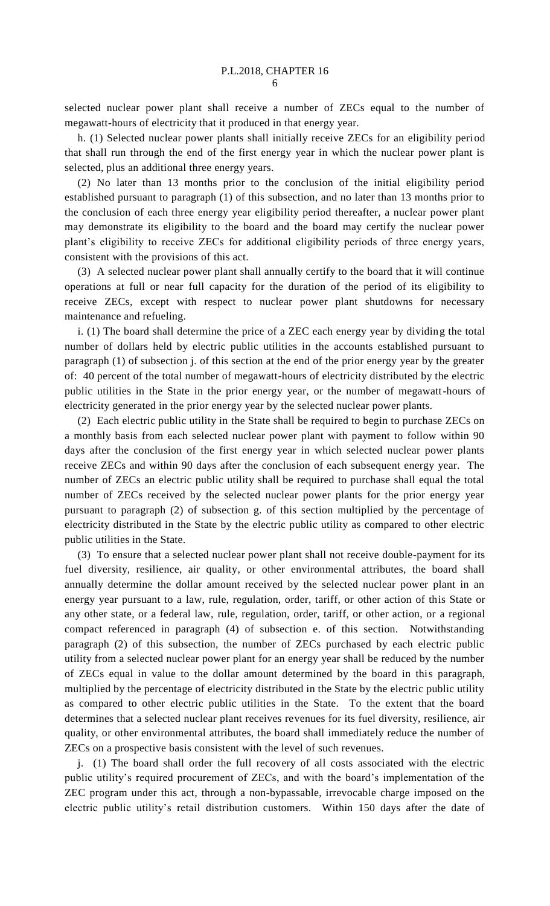selected nuclear power plant shall receive a number of ZECs equal to the number of megawatt-hours of electricity that it produced in that energy year.

h. (1) Selected nuclear power plants shall initially receive ZECs for an eligibility period that shall run through the end of the first energy year in which the nuclear power plant is selected, plus an additional three energy years.

(2) No later than 13 months prior to the conclusion of the initial eligibility period established pursuant to paragraph (1) of this subsection, and no later than 13 months prior to the conclusion of each three energy year eligibility period thereafter, a nuclear power plant may demonstrate its eligibility to the board and the board may certify the nuclear power plant's eligibility to receive ZECs for additional eligibility periods of three energy years, consistent with the provisions of this act.

(3) A selected nuclear power plant shall annually certify to the board that it will continue operations at full or near full capacity for the duration of the period of its eligibility to receive ZECs, except with respect to nuclear power plant shutdowns for necessary maintenance and refueling.

i. (1) The board shall determine the price of a ZEC each energy year by dividing the total number of dollars held by electric public utilities in the accounts established pursuant to paragraph (1) of subsection j. of this section at the end of the prior energy year by the greater of: 40 percent of the total number of megawatt-hours of electricity distributed by the electric public utilities in the State in the prior energy year, or the number of megawatt-hours of electricity generated in the prior energy year by the selected nuclear power plants.

(2) Each electric public utility in the State shall be required to begin to purchase ZECs on a monthly basis from each selected nuclear power plant with payment to follow within 90 days after the conclusion of the first energy year in which selected nuclear power plants receive ZECs and within 90 days after the conclusion of each subsequent energy year. The number of ZECs an electric public utility shall be required to purchase shall equal the total number of ZECs received by the selected nuclear power plants for the prior energy year pursuant to paragraph (2) of subsection g. of this section multiplied by the percentage of electricity distributed in the State by the electric public utility as compared to other electric public utilities in the State.

(3) To ensure that a selected nuclear power plant shall not receive double-payment for its fuel diversity, resilience, air quality, or other environmental attributes, the board shall annually determine the dollar amount received by the selected nuclear power plant in an energy year pursuant to a law, rule, regulation, order, tariff, or other action of this State or any other state, or a federal law, rule, regulation, order, tariff, or other action, or a regional compact referenced in paragraph (4) of subsection e. of this section. Notwithstanding paragraph (2) of this subsection, the number of ZECs purchased by each electric public utility from a selected nuclear power plant for an energy year shall be reduced by the number of ZECs equal in value to the dollar amount determined by the board in this paragraph, multiplied by the percentage of electricity distributed in the State by the electric public utility as compared to other electric public utilities in the State. To the extent that the board determines that a selected nuclear plant receives revenues for its fuel diversity, resilience, air quality, or other environmental attributes, the board shall immediately reduce the number of ZECs on a prospective basis consistent with the level of such revenues.

j. (1) The board shall order the full recovery of all costs associated with the electric public utility's required procurement of ZECs, and with the board's implementation of the ZEC program under this act, through a non-bypassable, irrevocable charge imposed on the electric public utility's retail distribution customers. Within 150 days after the date of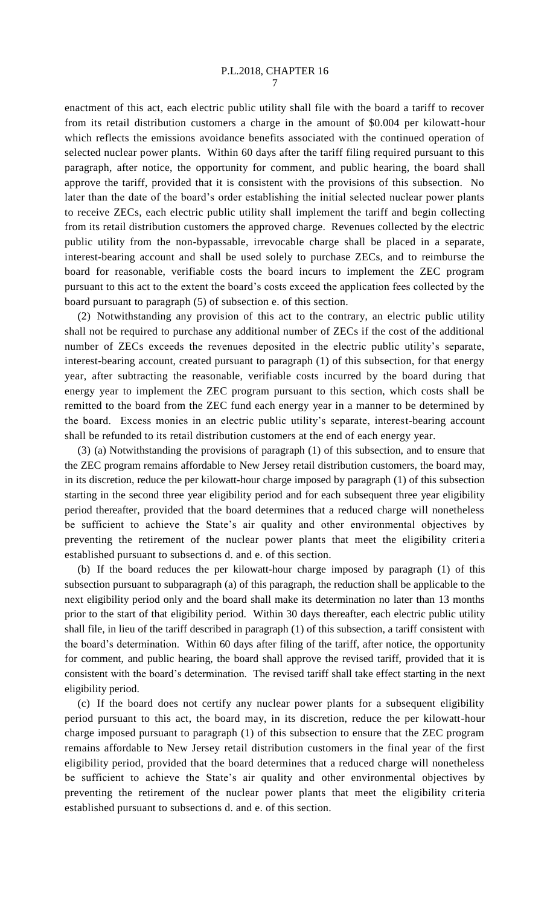enactment of this act, each electric public utility shall file with the board a tariff to recover from its retail distribution customers a charge in the amount of \$0.004 per kilowatt-hour which reflects the emissions avoidance benefits associated with the continued operation of selected nuclear power plants. Within 60 days after the tariff filing required pursuant to this paragraph, after notice, the opportunity for comment, and public hearing, the board shall approve the tariff, provided that it is consistent with the provisions of this subsection. No later than the date of the board's order establishing the initial selected nuclear power plants to receive ZECs, each electric public utility shall implement the tariff and begin collecting from its retail distribution customers the approved charge. Revenues collected by the electric public utility from the non-bypassable, irrevocable charge shall be placed in a separate, interest-bearing account and shall be used solely to purchase ZECs, and to reimburse the board for reasonable, verifiable costs the board incurs to implement the ZEC program pursuant to this act to the extent the board's costs exceed the application fees collected by the board pursuant to paragraph (5) of subsection e. of this section.

(2) Notwithstanding any provision of this act to the contrary, an electric public utility shall not be required to purchase any additional number of ZECs if the cost of the additional number of ZECs exceeds the revenues deposited in the electric public utility's separate, interest-bearing account, created pursuant to paragraph (1) of this subsection, for that energy year, after subtracting the reasonable, verifiable costs incurred by the board during that energy year to implement the ZEC program pursuant to this section, which costs shall be remitted to the board from the ZEC fund each energy year in a manner to be determined by the board. Excess monies in an electric public utility's separate, interest-bearing account shall be refunded to its retail distribution customers at the end of each energy year.

(3) (a) Notwithstanding the provisions of paragraph (1) of this subsection, and to ensure that the ZEC program remains affordable to New Jersey retail distribution customers, the board may, in its discretion, reduce the per kilowatt-hour charge imposed by paragraph (1) of this subsection starting in the second three year eligibility period and for each subsequent three year eligibility period thereafter, provided that the board determines that a reduced charge will nonetheless be sufficient to achieve the State's air quality and other environmental objectives by preventing the retirement of the nuclear power plants that meet the eligibility criteria established pursuant to subsections d. and e. of this section.

(b) If the board reduces the per kilowatt-hour charge imposed by paragraph (1) of this subsection pursuant to subparagraph (a) of this paragraph, the reduction shall be applicable to the next eligibility period only and the board shall make its determination no later than 13 months prior to the start of that eligibility period. Within 30 days thereafter, each electric public utility shall file, in lieu of the tariff described in paragraph (1) of this subsection, a tariff consistent with the board's determination. Within 60 days after filing of the tariff, after notice, the opportunity for comment, and public hearing, the board shall approve the revised tariff, provided that it is consistent with the board's determination. The revised tariff shall take effect starting in the next eligibility period.

(c) If the board does not certify any nuclear power plants for a subsequent eligibility period pursuant to this act, the board may, in its discretion, reduce the per kilowatt-hour charge imposed pursuant to paragraph (1) of this subsection to ensure that the ZEC program remains affordable to New Jersey retail distribution customers in the final year of the first eligibility period, provided that the board determines that a reduced charge will nonetheless be sufficient to achieve the State's air quality and other environmental objectives by preventing the retirement of the nuclear power plants that meet the eligibility criteria established pursuant to subsections d. and e. of this section.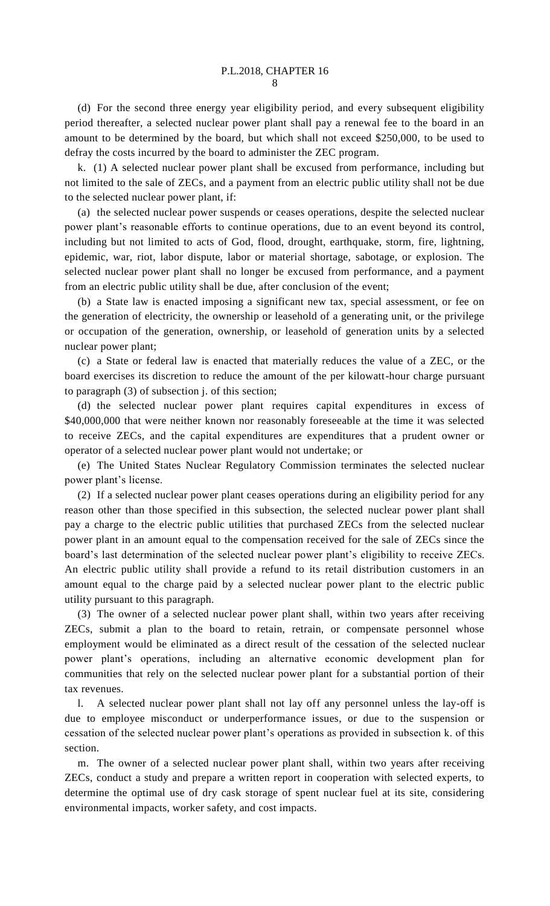(d) For the second three energy year eligibility period, and every subsequent eligibility period thereafter, a selected nuclear power plant shall pay a renewal fee to the board in an amount to be determined by the board, but which shall not exceed \$250,000, to be used to defray the costs incurred by the board to administer the ZEC program.

k. (1) A selected nuclear power plant shall be excused from performance, including but not limited to the sale of ZECs, and a payment from an electric public utility shall not be due to the selected nuclear power plant, if:

(a) the selected nuclear power suspends or ceases operations, despite the selected nuclear power plant's reasonable efforts to continue operations, due to an event beyond its control, including but not limited to acts of God, flood, drought, earthquake, storm, fire, lightning, epidemic, war, riot, labor dispute, labor or material shortage, sabotage, or explosion. The selected nuclear power plant shall no longer be excused from performance, and a payment from an electric public utility shall be due, after conclusion of the event;

(b) a State law is enacted imposing a significant new tax, special assessment, or fee on the generation of electricity, the ownership or leasehold of a generating unit, or the privilege or occupation of the generation, ownership, or leasehold of generation units by a selected nuclear power plant;

(c) a State or federal law is enacted that materially reduces the value of a ZEC, or the board exercises its discretion to reduce the amount of the per kilowatt-hour charge pursuant to paragraph (3) of subsection j. of this section;

(d) the selected nuclear power plant requires capital expenditures in excess of \$40,000,000 that were neither known nor reasonably foreseeable at the time it was selected to receive ZECs, and the capital expenditures are expenditures that a prudent owner or operator of a selected nuclear power plant would not undertake; or

(e) The United States Nuclear Regulatory Commission terminates the selected nuclear power plant's license.

(2) If a selected nuclear power plant ceases operations during an eligibility period for any reason other than those specified in this subsection, the selected nuclear power plant shall pay a charge to the electric public utilities that purchased ZECs from the selected nuclear power plant in an amount equal to the compensation received for the sale of ZECs since the board's last determination of the selected nuclear power plant's eligibility to receive ZECs. An electric public utility shall provide a refund to its retail distribution customers in an amount equal to the charge paid by a selected nuclear power plant to the electric public utility pursuant to this paragraph.

(3) The owner of a selected nuclear power plant shall, within two years after receiving ZECs, submit a plan to the board to retain, retrain, or compensate personnel whose employment would be eliminated as a direct result of the cessation of the selected nuclear power plant's operations, including an alternative economic development plan for communities that rely on the selected nuclear power plant for a substantial portion of their tax revenues.

l. A selected nuclear power plant shall not lay off any personnel unless the lay-off is due to employee misconduct or underperformance issues, or due to the suspension or cessation of the selected nuclear power plant's operations as provided in subsection k. of this section.

m. The owner of a selected nuclear power plant shall, within two years after receiving ZECs, conduct a study and prepare a written report in cooperation with selected experts, to determine the optimal use of dry cask storage of spent nuclear fuel at its site, considering environmental impacts, worker safety, and cost impacts.